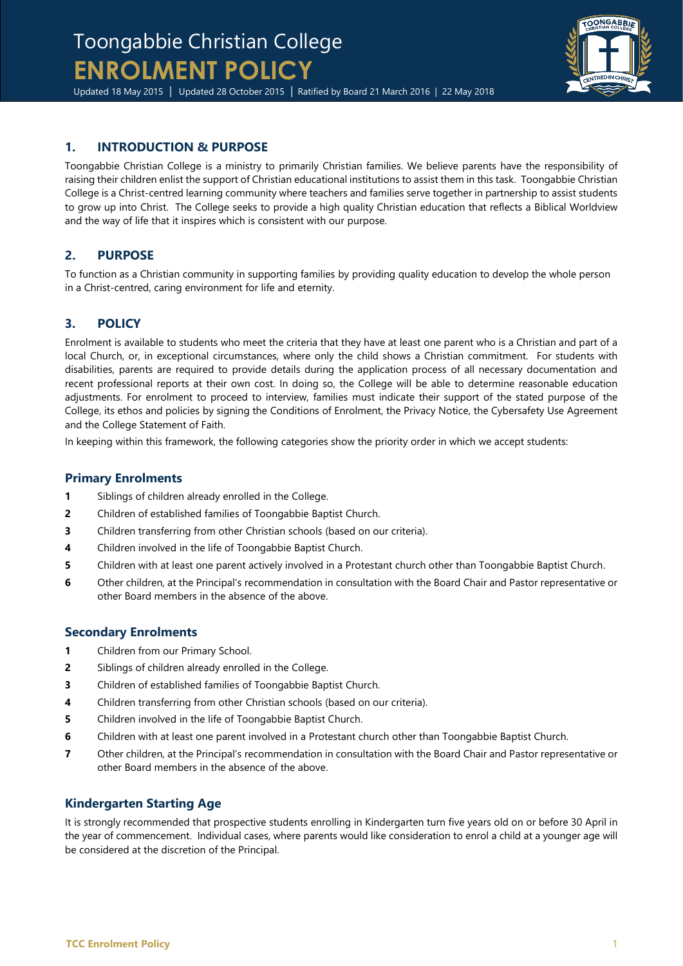# Toongabbie Christian College **ENROLMENT POLICY**

Updated 18 May 2015 | Updated 28 October 2015 | Ratified by Board 21 March 2016 | 22 May 2018

## **1. INTRODUCTION & PURPOSE**

Toongabbie Christian College is a ministry to primarily Christian families. We believe parents have the responsibility of raising their children enlist the support of Christian educational institutions to assist them in this task. Toongabbie Christian College is a Christ-centred learning community where teachers and families serve together in partnership to assist students to grow up into Christ. The College seeks to provide a high quality Christian education that reflects a Biblical Worldview and the way of life that it inspires which is consistent with our purpose.

## **2. PURPOSE**

To function as a Christian community in supporting families by providing quality education to develop the whole person in a Christ-centred, caring environment for life and eternity.

## **3. POLICY**

Enrolment is available to students who meet the criteria that they have at least one parent who is a Christian and part of a local Church, or, in exceptional circumstances, where only the child shows a Christian commitment. For students with disabilities, parents are required to provide details during the application process of all necessary documentation and recent professional reports at their own cost. In doing so, the College will be able to determine reasonable education adjustments. For enrolment to proceed to interview, families must indicate their support of the stated purpose of the College, its ethos and policies by signing the Conditions of Enrolment, the Privacy Notice, the Cybersafety Use Agreement and the College Statement of Faith.

In keeping within this framework, the following categories show the priority order in which we accept students:

#### **Primary Enrolments**

- **1** Siblings of children already enrolled in the College.
- **2** Children of established families of Toongabbie Baptist Church.
- **3** Children transferring from other Christian schools (based on our criteria).
- **4** Children involved in the life of Toongabbie Baptist Church.
- **5** Children with at least one parent actively involved in a Protestant church other than Toongabbie Baptist Church.
- **6** Other children, at the Principal's recommendation in consultation with the Board Chair and Pastor representative or other Board members in the absence of the above.

### **Secondary Enrolments**

- **1** Children from our Primary School.
- **2** Siblings of children already enrolled in the College.
- **3** Children of established families of Toongabbie Baptist Church.
- **4** Children transferring from other Christian schools (based on our criteria).
- **5** Children involved in the life of Toongabbie Baptist Church.
- **6** Children with at least one parent involved in a Protestant church other than Toongabbie Baptist Church.
- **7** Other children, at the Principal's recommendation in consultation with the Board Chair and Pastor representative or other Board members in the absence of the above.

### **Kindergarten Starting Age**

It is strongly recommended that prospective students enrolling in Kindergarten turn five years old on or before 30 April in the year of commencement. Individual cases, where parents would like consideration to enrol a child at a younger age will be considered at the discretion of the Principal.

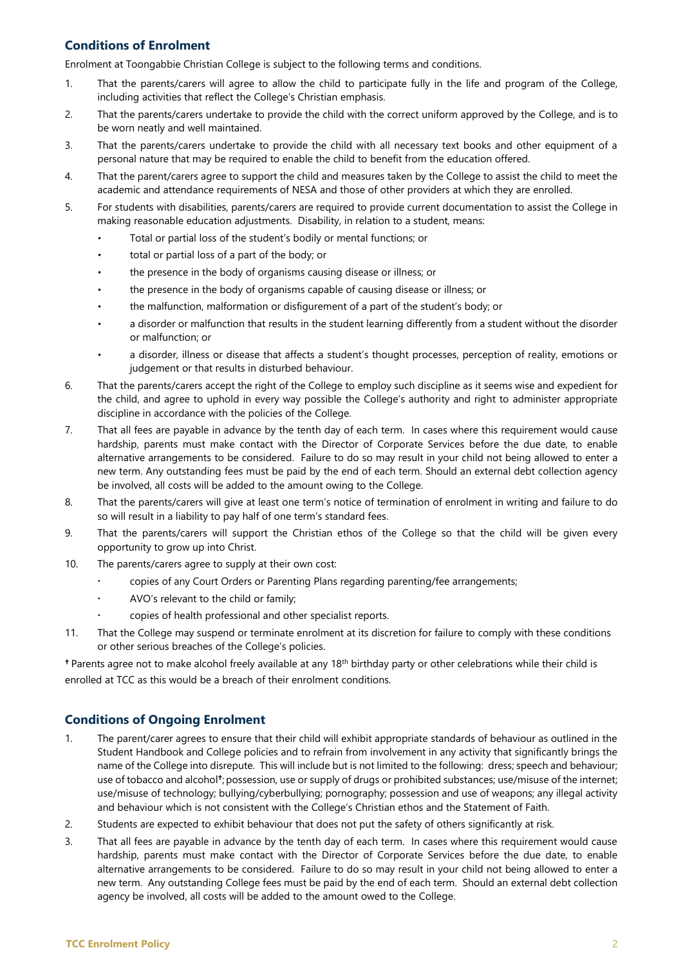### **Conditions of Enrolment**

Enrolment at Toongabbie Christian College is subject to the following terms and conditions.

- 1. That the parents/carers will agree to allow the child to participate fully in the life and program of the College, including activities that reflect the College's Christian emphasis.
- 2. That the parents/carers undertake to provide the child with the correct uniform approved by the College, and is to be worn neatly and well maintained.
- 3. That the parents/carers undertake to provide the child with all necessary text books and other equipment of a personal nature that may be required to enable the child to benefit from the education offered.
- 4. That the parent/carers agree to support the child and measures taken by the College to assist the child to meet the academic and attendance requirements of NESA and those of other providers at which they are enrolled.
- 5. For students with disabilities, parents/carers are required to provide current documentation to assist the College in making reasonable education adjustments. Disability, in relation to a student, means:
	- Total or partial loss of the student's bodily or mental functions; or
	- total or partial loss of a part of the body; or
	- the presence in the body of organisms causing disease or illness; or
	- the presence in the body of organisms capable of causing disease or illness; or
	- the malfunction, malformation or disfigurement of a part of the student's body; or
	- a disorder or malfunction that results in the student learning differently from a student without the disorder or malfunction; or
	- a disorder, illness or disease that affects a student's thought processes, perception of reality, emotions or judgement or that results in disturbed behaviour.
- 6. That the parents/carers accept the right of the College to employ such discipline as it seems wise and expedient for the child, and agree to uphold in every way possible the College's authority and right to administer appropriate discipline in accordance with the policies of the College.
- 7. That all fees are payable in advance by the tenth day of each term. In cases where this requirement would cause hardship, parents must make contact with the Director of Corporate Services before the due date, to enable alternative arrangements to be considered. Failure to do so may result in your child not being allowed to enter a new term. Any outstanding fees must be paid by the end of each term. Should an external debt collection agency be involved, all costs will be added to the amount owing to the College.
- 8. That the parents/carers will give at least one term's notice of termination of enrolment in writing and failure to do so will result in a liability to pay half of one term's standard fees.
- 9. That the parents/carers will support the Christian ethos of the College so that the child will be given every opportunity to grow up into Christ.
- 10. The parents/carers agree to supply at their own cost:
	- copies of any Court Orders or Parenting Plans regarding parenting/fee arrangements;
	- AVO's relevant to the child or family;
	- copies of health professional and other specialist reports.
- 11. That the College may suspend or terminate enrolment at its discretion for failure to comply with these conditions or other serious breaches of the College's policies.

<sup>+</sup> Parents agree not to make alcohol freely available at any 18<sup>th</sup> birthday party or other celebrations while their child is enrolled at TCC as this would be a breach of their enrolment conditions.

#### **Conditions of Ongoing Enrolment**

- 1. The parent/carer agrees to ensure that their child will exhibit appropriate standards of behaviour as outlined in the Student Handbook and College policies and to refrain from involvement in any activity that significantly brings the name of the College into disrepute. This will include but is not limited to the following: dress; speech and behaviour; use of tobacco and alcohol<sup>†</sup>; possession, use or supply of drugs or prohibited substances; use/misuse of the internet; use/misuse of technology; bullying/cyberbullying; pornography; possession and use of weapons; any illegal activity and behaviour which is not consistent with the College's Christian ethos and the Statement of Faith.
- 2. Students are expected to exhibit behaviour that does not put the safety of others significantly at risk.
- 3. That all fees are payable in advance by the tenth day of each term. In cases where this requirement would cause hardship, parents must make contact with the Director of Corporate Services before the due date, to enable alternative arrangements to be considered. Failure to do so may result in your child not being allowed to enter a new term. Any outstanding College fees must be paid by the end of each term. Should an external debt collection agency be involved, all costs will be added to the amount owed to the College.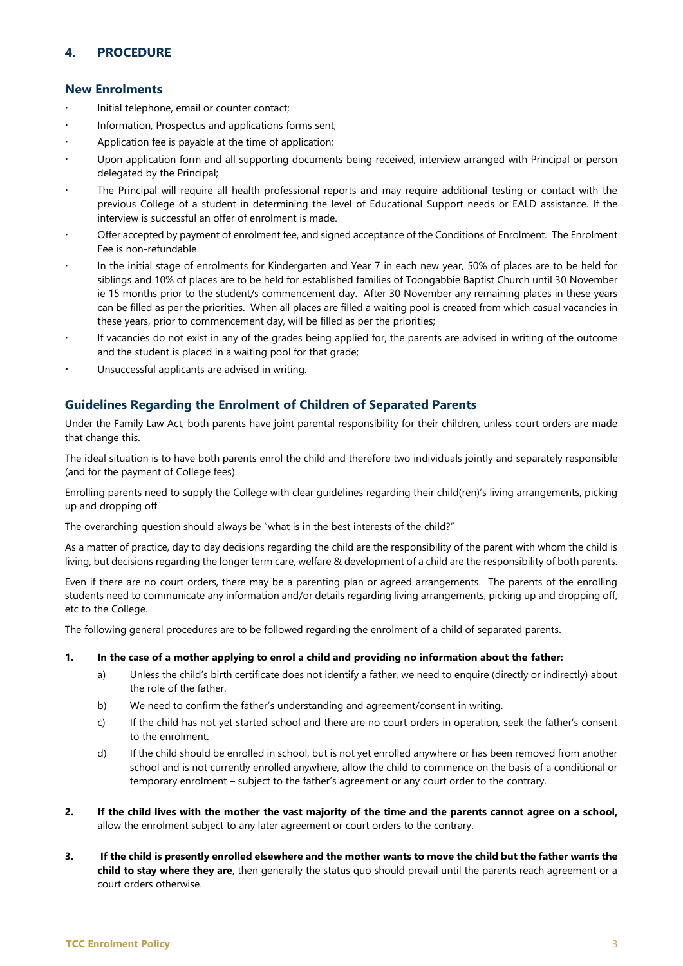### **4. PROCEDURE**

#### **New Enrolments**

- Initial telephone, email or counter contact;
- Information, Prospectus and applications forms sent;
- Application fee is payable at the time of application;
- Upon application form and all supporting documents being received, interview arranged with Principal or person delegated by the Principal;
- The Principal will require all health professional reports and may require additional testing or contact with the previous College of a student in determining the level of Educational Support needs or EALD assistance. If the interview is successful an offer of enrolment is made.
- Offer accepted by payment of enrolment fee, and signed acceptance of the Conditions of Enrolment. The Enrolment Fee is non-refundable.
- In the initial stage of enrolments for Kindergarten and Year 7 in each new year, 50% of places are to be held for siblings and 10% of places are to be held for established families of Toongabbie Baptist Church until 30 November ie 15 months prior to the student/s commencement day. After 30 November any remaining places in these years can be filled as per the priorities. When all places are filled a waiting pool is created from which casual vacancies in these years, prior to commencement day, will be filled as per the priorities;
- If vacancies do not exist in any of the grades being applied for, the parents are advised in writing of the outcome and the student is placed in a waiting pool for that grade;
- Unsuccessful applicants are advised in writing.

#### **Guidelines Regarding the Enrolment of Children of Separated Parents**

Under the Family Law Act, both parents have joint parental responsibility for their children, unless court orders are made that change this.

The ideal situation is to have both parents enrol the child and therefore two individuals jointly and separately responsible (and for the payment of College fees).

Enrolling parents need to supply the College with clear guidelines regarding their child(ren)'s living arrangements, picking up and dropping off.

The overarching question should always be "what is in the best interests of the child?"

As a matter of practice, day to day decisions regarding the child are the responsibility of the parent with whom the child is living, but decisions regarding the longer term care, welfare & development of a child are the responsibility of both parents.

Even if there are no court orders, there may be a parenting plan or agreed arrangements. The parents of the enrolling students need to communicate any information and/or details regarding living arrangements, picking up and dropping off, etc to the College.

The following general procedures are to be followed regarding the enrolment of a child of separated parents.

- **1. In the case of a mother applying to enrol a child and providing no information about the father:**
	- a) Unless the child's birth certificate does not identify a father, we need to enquire (directly or indirectly) about the role of the father.
	- b) We need to confirm the father's understanding and agreement/consent in writing.
	- c) If the child has not yet started school and there are no court orders in operation, seek the father's consent to the enrolment.
	- d) If the child should be enrolled in school, but is not yet enrolled anywhere or has been removed from another school and is not currently enrolled anywhere, allow the child to commence on the basis of a conditional or temporary enrolment – subject to the father's agreement or any court order to the contrary.
- **2. If the child lives with the mother the vast majority of the time and the parents cannot agree on a school,**  allow the enrolment subject to any later agreement or court orders to the contrary.
- **3. If the child is presently enrolled elsewhere and the mother wants to move the child but the father wants the child to stay where they are**, then generally the status quo should prevail until the parents reach agreement or a court orders otherwise.